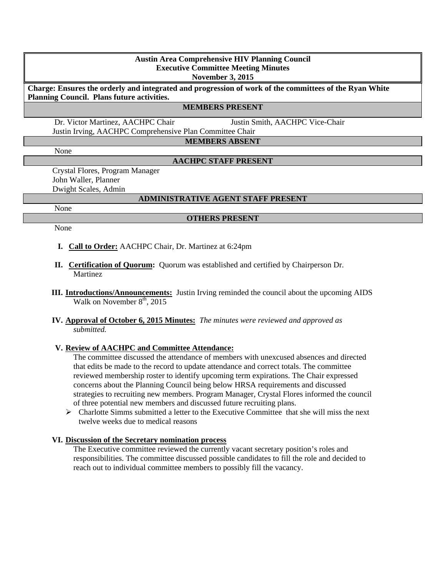#### **Austin Area Comprehensive HIV Planning Council Executive Committee Meeting Minutes November 3, 2015**

**Charge: Ensures the orderly and integrated and progression of work of the committees of the Ryan White Planning Council. Plans future activities.**

#### **MEMBERS PRESENT**

 Dr. Victor Martinez, AACHPC Chair Justin Smith, AACHPC Vice-Chair Justin Irving, AACHPC Comprehensive Plan Committee Chair

**MEMBERS ABSENT**

None

## **AACHPC STAFF PRESENT**

Crystal Flores, Program Manager John Waller, Planner Dwight Scales, Admin

#### **ADMINISTRATIVE AGENT STAFF PRESENT**

None

#### **OTHERS PRESENT**

None

- **I. Call to Order:** AACHPC Chair, Dr. Martinez at 6:24pm
- **II. Certification of Quorum:** Quorum was established and certified by Chairperson Dr. Martinez
- **III. Introductions/Announcements:** Justin Irving reminded the council about the upcoming AIDS Walk on November  $8<sup>th</sup>$ , 2015
- **IV. Approval of October 6, 2015 Minutes:** *The minutes were reviewed and approved as submitted.*

## **V. Review of AACHPC and Committee Attendance:**

The committee discussed the attendance of members with unexcused absences and directed that edits be made to the record to update attendance and correct totals. The committee reviewed membership roster to identify upcoming term expirations. The Chair expressed concerns about the Planning Council being below HRSA requirements and discussed strategies to recruiting new members. Program Manager, Crystal Flores informed the council of three potential new members and discussed future recruiting plans.

 $\triangleright$  Charlotte Simms submitted a letter to the Executive Committee that she will miss the next twelve weeks due to medical reasons

#### **VI. Discussion of the Secretary nomination process**

The Executive committee reviewed the currently vacant secretary position's roles and responsibilities. The committee discussed possible candidates to fill the role and decided to reach out to individual committee members to possibly fill the vacancy.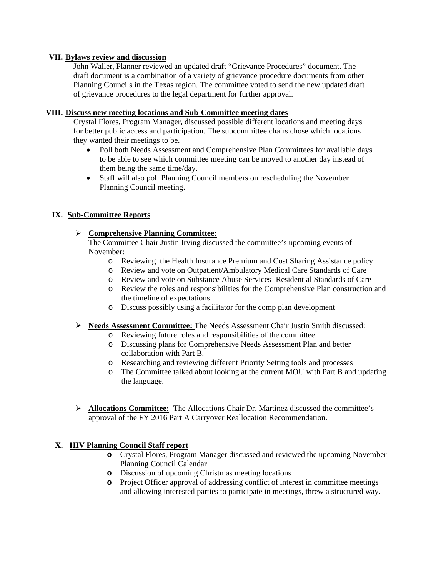## **VII. Bylaws review and discussion**

John Waller, Planner reviewed an updated draft "Grievance Procedures" document. The draft document is a combination of a variety of grievance procedure documents from other Planning Councils in the Texas region. The committee voted to send the new updated draft of grievance procedures to the legal department for further approval.

## **VIII. Discuss new meeting locations and Sub-Committee meeting dates**

Crystal Flores, Program Manager, discussed possible different locations and meeting days for better public access and participation. The subcommittee chairs chose which locations they wanted their meetings to be.

- Poll both Needs Assessment and Comprehensive Plan Committees for available days to be able to see which committee meeting can be moved to another day instead of them being the same time/day.
- Staff will also poll Planning Council members on rescheduling the November Planning Council meeting.

# **IX. Sub-Committee Reports**

## **Comprehensive Planning Committee:**

The Committee Chair Justin Irving discussed the committee's upcoming events of November:

- o Reviewing the Health Insurance Premium and Cost Sharing Assistance policy
- o Review and vote on Outpatient/Ambulatory Medical Care Standards of Care
- o Review and vote on Substance Abuse Services- Residential Standards of Care
- o Review the roles and responsibilities for the Comprehensive Plan construction and the timeline of expectations
- o Discuss possibly using a facilitator for the comp plan development
- **Needs Assessment Committee:** The Needs Assessment Chair Justin Smith discussed:
	- o Reviewing future roles and responsibilities of the committee
	- o Discussing plans for Comprehensive Needs Assessment Plan and better collaboration with Part B.
	- o Researching and reviewing different Priority Setting tools and processes
	- o The Committee talked about looking at the current MOU with Part B and updating the language.
- **Allocations Committee:** The Allocations Chair Dr. Martinez discussed the committee's approval of the FY 2016 Part A Carryover Reallocation Recommendation.

# **X. HIV Planning Council Staff report**

- **o** Crystal Flores, Program Manager discussed and reviewed the upcoming November Planning Council Calendar
- **o** Discussion of upcoming Christmas meeting locations
- **o** Project Officer approval of addressing conflict of interest in committee meetings and allowing interested parties to participate in meetings, threw a structured way.